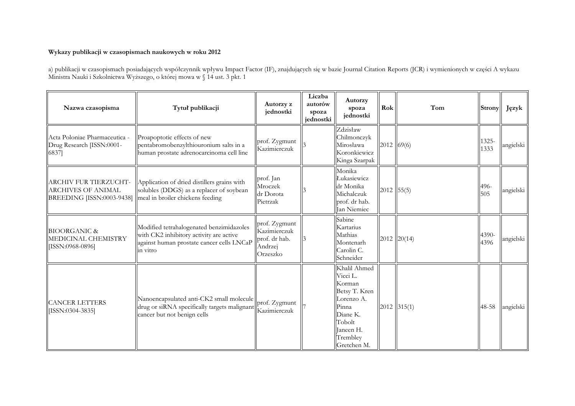## **Wykazy publikacji w czasopismach naukowych w roku 2012**

a) publikacji w czasopismach posiadających współczynnik wpływu Impact Factor (IF), znajdujących się w bazie Journal Citation Reports (JCR) i wymienionych w części A wykazu Ministra Nauki i Szkolnictwa Wyższego, o której mowa w § 14 ust. 3 pkt. 1

| Nazwa czasopisma                                                                          | Tytuł publikacji                                                                                                                             | Autorzy z<br>jednostki                                                | Liczba<br>autorów<br>spoza<br>jednostki | <b>Autorzy</b><br>spoza<br>jednostki                                                                                                     | Rok          | Tom           | <b>Strony</b> | Język     |
|-------------------------------------------------------------------------------------------|----------------------------------------------------------------------------------------------------------------------------------------------|-----------------------------------------------------------------------|-----------------------------------------|------------------------------------------------------------------------------------------------------------------------------------------|--------------|---------------|---------------|-----------|
| Acta Poloniae Pharmaceutica -<br>Drug Research [ISSN:0001-<br>6837]                       | Proapoptotic effects of new<br>pentabromobenzylthiouronium salts in a<br>human prostate adrenocarcinoma cell line                            | prof. Zygmunt<br>Kazimierczuk                                         |                                         | Zdzisław<br>Chilmonczyk<br>Mirosława<br>Koronkiewicz<br>Kinga Szarpak                                                                    | 2012   69(6) |               | 1325-<br>1333 | angielski |
| <b>ARCHIVES OF ANIMAL</b><br>BREEDING [ISSN:0003-9438]   meal in broiler chickens feeding | ARCHIV FUR TIERZUCHT-   Application of dried distillers grains with<br>solubles (DDGS) as a replacer of soybean                              | prof. Jan<br>Mroczek<br>dr Dorota<br>Pietrzak                         |                                         | Monika<br>Łukasiewicz<br>dr Monika<br>Michalczuk<br>prof. dr hab.<br>Jan Niemiec                                                         | $2012$ 55(5) |               | 496-<br>505   | angielski |
| <b>BIOORGANIC &amp;</b><br>MEDICINAL CHEMISTRY<br>[ISSN:0968-0896]                        | Modified tetrahalogenated benzimidazoles<br>with CK2 inhibitory activity are active<br>against human prostate cancer cells LNCaP<br>in vitro | prof. Zygmunt<br>Kazimierczuk<br>prof. dr hab.<br>Andrzej<br>Orzeszko |                                         | Sabine<br>Kartarius<br>Mathias<br>Montenarh<br>Carolin C.<br>Schneider                                                                   |              | 2012   20(14) | 4390-<br>4396 | angielski |
| <b>CANCER LETTERS</b><br>[ISSN:0304-3835]                                                 | Nanoencapsulated anti-CK2 small molecule prof. Zygmunt<br>drug or siRNA specifically targets malignant<br>cancer but not benign cells        | Kazimierczuk                                                          |                                         | Khalil Ahmed<br>Vicci L.<br>Korman<br>Betsy T. Kren<br>Lorenzo A.<br>Pinna<br>Diane K.<br>Tobolt<br>Janeen H.<br>Trembley<br>Gretchen M. |              | $2012$ 315(1) | 48-58         | angielski |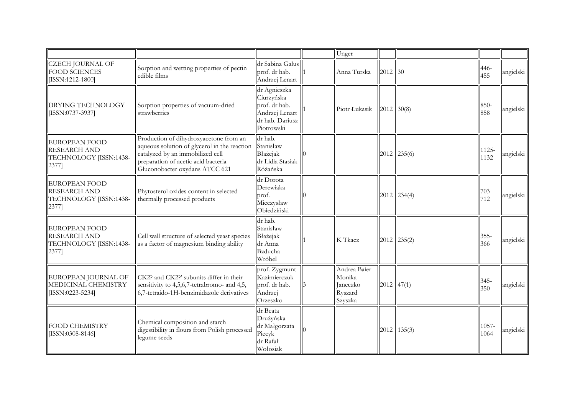|                                                                                |                                                                                                                                                                                                     |                                                                                                | Unger                                                    |                |                    |                |           |
|--------------------------------------------------------------------------------|-----------------------------------------------------------------------------------------------------------------------------------------------------------------------------------------------------|------------------------------------------------------------------------------------------------|----------------------------------------------------------|----------------|--------------------|----------------|-----------|
| <b>CZECH JOURNAL OF</b><br><b>FOOD SCIENCES</b><br>[ISSN:1212-1800]            | Sorption and wetting properties of pectin<br>edible films                                                                                                                                           | dr Sabina Galus<br>prof. dr hab.<br>Andrzej Lenart                                             | Anna Turska                                              | $2012$ 30      |                    | 446-<br>455    | angielski |
| <b>DRYING TECHNOLOGY</b><br>[ISSN:0737-3937]                                   | Sorption properties of vacuum-dried<br>strawberries                                                                                                                                                 | dr Agnieszka<br>Ciurzyńska<br>prof. dr hab.<br>Andrzej Lenart<br>dr hab. Dariusz<br>Piotrowski | Piotr Łukasik                                            | $2012$ 30(8)   |                    | 850-<br>858    | angielski |
| <b>EUROPEAN FOOD</b><br><b>RESEARCH AND</b><br>TECHNOLOGY [ISSN:1438-<br>2377] | Production of dihydroxyacetone from an<br>aqueous solution of glycerol in the reaction<br>catalyzed by an immobilized cell<br>preparation of acetic acid bacteria<br>Gluconobacter oxydans ATCC 621 | dr hab.<br>Stanisław<br>Błażejak<br>dr Lidia Stasiak-<br>Różańska                              |                                                          |                | 2012   235(6)      | 1125-<br>1132  | angielski |
| <b>EUROPEAN FOOD</b><br><b>RESEARCH AND</b><br>TECHNOLOGY [ISSN:1438-<br>2377] | Phytosterol oxides content in selected<br>thermally processed products                                                                                                                              | dr Dorota<br>Derewiaka<br>prof.<br>Mieczysław<br>Obiedziński                                   |                                                          |                | $ 2012 $ $ 234(4)$ | $703-$<br>712  | angielski |
| <b>EUROPEAN FOOD</b><br><b>RESEARCH AND</b><br>TECHNOLOGY [ISSN:1438-<br>2377] | Cell wall structure of selected yeast species<br>as a factor of magnesium binding ability                                                                                                           | dr hab.<br>Stanisław<br>Błażejak<br>dr Anna<br>Bzducha-<br>Wróbel                              | K Tkacz                                                  |                | $ 2012 $ $ 235(2)$ | $355 -$<br>366 | angielski |
| EUROPEAN JOURNAL OF<br>MEDICINAL CHEMISTRY<br>[ISSN:0223-5234]                 | CK2? and CK2?' subunits differ in their<br>sensitivity to 4,5,6,7-tetrabromo- and 4,5,<br>6,7-tetraido-1H-benzimidazole derivatives                                                                 | prof. Zygmunt<br>Kazimierczuk<br>prof. dr hab.<br>Andrzej<br>Orzeszko                          | Andrea Baier<br>Monika<br>Janeczko<br>Ryszard<br>Szyszka | $ 2012 $ 47(1) |                    | $345 -$<br>350 | angielski |
| <b>FOOD CHEMISTRY</b><br>[ISSN:0308-8146]                                      | Chemical composition and starch<br>digestibility in flours from Polish processed<br>legume seeds                                                                                                    | dr Beata<br>Drużyńska<br>dr Małgorzata<br>Piecyk<br>dr Rafał<br>Wołosiak                       |                                                          |                | $ 2012 $ 135(3)    | 1057-<br>1064  | angielski |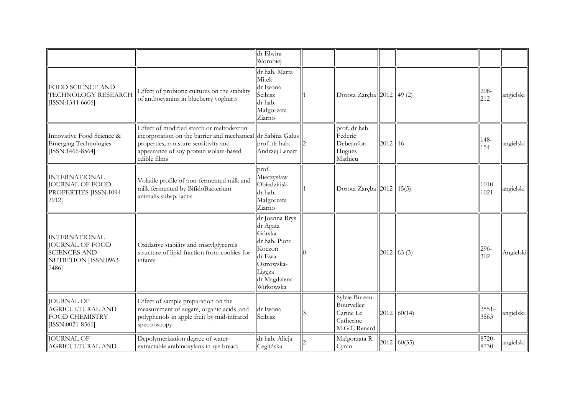|                                                                                                         |                                                                                                                                                                                                             | dr Elwira<br>Worobiej                                                                                                          |                                                                       |               |               |                  |           |
|---------------------------------------------------------------------------------------------------------|-------------------------------------------------------------------------------------------------------------------------------------------------------------------------------------------------------------|--------------------------------------------------------------------------------------------------------------------------------|-----------------------------------------------------------------------|---------------|---------------|------------------|-----------|
| <b>FOOD SCIENCE AND</b><br>TECHNOLOGY RESEARCH<br>[ISSN:1344-6606]                                      | Effect of probiotic cultures on the stability<br>of anthocyanins in blueberry yoghurts                                                                                                                      | dr hab. Marta<br>Mitek<br>dr Iwona<br>Ścibisz<br>dr hab.<br>Małgorzata<br>Ziarno                                               | Dorota Zaręba 2012   49 (2)                                           |               |               | 208-<br>212      | angielski |
| Innovative Food Science &<br>Emerging Technologies<br>[ISSN:1466-8564]                                  | Effect of modified starch or maltodextrin<br>incorporation on the barrier and mechanical dr Sabina Galus<br>properties, moisture sensitivity and<br>appearance of soy protein isolate-based<br>edible films | prof. dr hab.<br>Andrzej Lenart                                                                                                | prof. dr hab.<br>Federic<br>Debeaufort<br>Hugues<br>Mathieu           | 2012 16       |               | 148-<br>154      | angielski |
| <b>INTERNATIONAL</b><br><b>JOURNAL OF FOOD</b><br>PROPERTIES [ISSN:1094-<br>2912]                       | Volatile profile of non-fermented milk and<br>milk fermented by BifidoBacterium<br>animalis subsp. lactis                                                                                                   | prof.<br>Mieczysław<br>Obiedziński<br>dr hab.<br>Małgorzata<br>Ziarno                                                          | Dorota Zaręba 2012 15(5)                                              |               |               | $1010 -$<br>1021 | angielski |
| <b>INTERNATIONAL</b><br><b>JOURNAL OF FOOD</b><br><b>SCIENCES AND</b><br>NUTRITION [ISSN:0963-<br>7486] | Oxidative stability and triacylglycerols<br>structure of lipid fraction from cookies for<br>infants                                                                                                         | dr Joanna Bryś<br>dr Agata<br>Górska<br>dr hab. Piotr<br>Koczoń<br>dr Ewa<br>Ostrowska-<br>Ligęza<br>dr Magdalena<br>Wirkowska |                                                                       | $2012$ 63 (3) |               | 296-<br>302      | Angielski |
| <b>JOURNAL OF</b><br><b>AGRICULTURAL AND</b><br>FOOD CHEMISTRY<br>[ISSN:0021-8561]                      | Effect of sample preparation on the<br>measurement of sugars, organic acids, and<br>polyphenols in apple fruit by mid-infrared<br>spectroscopy                                                              | dr Iwona<br>Ścibisz                                                                                                            | Sylvie Bureau<br>Bourvellec<br>Carine Le<br>Catherine<br>M.G.C Renard |               | 2012   60(14) | 3551-<br>3563    | angielski |
| <b>JOURNAL OF</b><br><b>AGRICULTURAL AND</b>                                                            | Depolymerization degree of water-<br>extractable arabinoxylans in rye bread:                                                                                                                                | dr hab. Alicja<br>Ceglińska                                                                                                    | Małgorzata R.<br>Cyran                                                |               | 2012   60(35) | 8720-<br>8730    | angielski |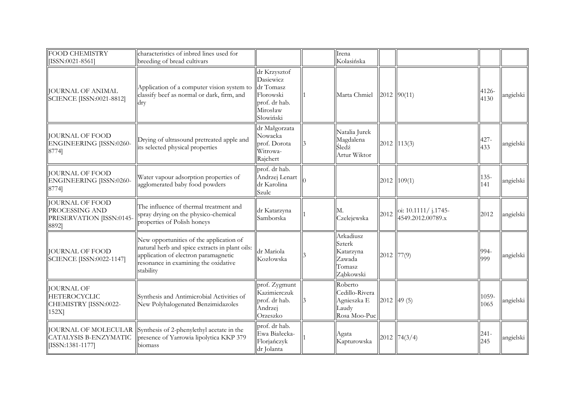| <b>FOOD CHEMISTRY</b><br>[ISSN:0021-8561]                                     | characteristics of inbred lines used for<br>breeding of bread cultivars                                                                                                                |                                                                                               | Irena<br>Kolasińska                                               |              |                                           |                |           |
|-------------------------------------------------------------------------------|----------------------------------------------------------------------------------------------------------------------------------------------------------------------------------------|-----------------------------------------------------------------------------------------------|-------------------------------------------------------------------|--------------|-------------------------------------------|----------------|-----------|
| <b>JOURNAL OF ANIMAL</b><br>SCIENCE [ISSN:0021-8812]                          | Application of a computer vision system to<br>classify beef as normal or dark, firm, and<br>dry                                                                                        | dr Krzysztof<br>Dasiewicz<br>dr Tomasz<br>Florowski<br>prof. dr hab.<br>Mirosław<br>Słowiński | Marta Chmiel                                                      |              | $2012$ 90(11)                             | 4126-<br>4130  | angielski |
| <b>JOURNAL OF FOOD</b><br>ENGINEERING [ISSN:0260-<br>8774]                    | Drying of ultrasound pretreated apple and<br>its selected physical properties                                                                                                          | dr Małgorzata<br>Nowacka<br>prof. Dorota<br>Witrowa-<br>Rajchert                              | Natalia Jurek<br>Magdalena<br>Śledź<br>Artur Wiktor               |              | $2012$ 113(3)                             | 427-<br>433    | angielski |
| <b>JOURNAL OF FOOD</b><br>ENGINEERING [ISSN:0260-<br>8774]                    | Water vapour adsorption properties of<br>agglomerated baby food powders                                                                                                                | prof. dr hab.<br>Andrzej Lenart<br>dr Karolina<br>Szulc                                       |                                                                   |              | $2012$   109(1)                           | $135 -$<br>141 | angielski |
| <b>JOURNAL OF FOOD</b><br>PROCESSING AND<br>PRESERVATION [ISSN:0145-<br>8892] | The influence of thermal treatment and<br>spray drying on the physico-chemical<br>properties of Polish honeys                                                                          | dr Katarzyna<br>Samborska                                                                     | Czelejewska                                                       | 2012         | oi: 10.1111/ j.1745-<br>4549.2012.00789.x | 2012           | angielski |
| <b>JOURNAL OF FOOD</b><br><b>SCIENCE [ISSN:0022-1147]</b>                     | New opportunities of the application of<br>natural herb and spice extracts in plant oils:<br>application of electron paramagnetic<br>resonance in examining the oxidative<br>stability | dr Mariola<br>Kozłowska                                                                       | Arkadiusz<br>Szterk<br>Katarzyna<br>Zawada<br>Tomasz<br>Ząbkowski | $2012$ 77(9) |                                           | 994-<br>999    | angielski |
| <b>JOURNAL OF</b><br>HETEROCYCLIC<br>CHEMISTRY [ISSN:0022-<br>152X            | Synthesis and Antimicrobial Activities of<br>New Polyhalogenated Benzimidazoles                                                                                                        | prof. Zygmunt<br>Kazimierczuk<br>prof. dr hab.<br>Andrzej<br>Orzeszko                         | Roberto<br>Cedillo-Rivera<br>Agnieszka E<br>Laudy<br>Rosa Moo-Puc |              | $2012$ 49 (5)                             | 1059-<br>1065  | angielski |
| [ISSN:1381-1177]                                                              | JOURNAL OF MOLECULAR Synthesis of 2-phenylethyl acetate in the<br>CATALYSIS B-ENZYMATIC   presence of Yarrowia lipolytica KKP 379<br>biomass                                           | prof. dr hab.<br>Ewa Białecka-<br>Florjańczyk<br>dr Jolanta                                   | Agata<br>Kapturowska                                              |              | $2012$ 74(3/4)                            | $241 -$<br>245 | angielski |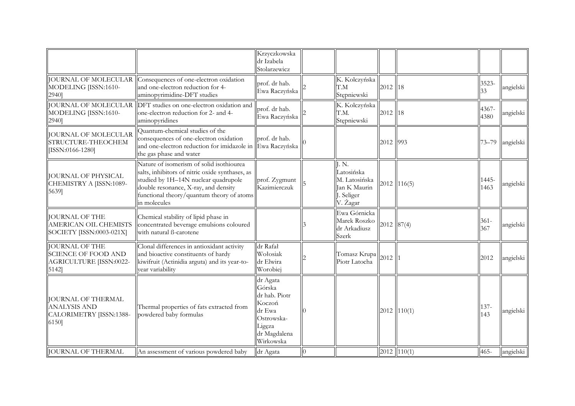|                                                                                      |                                                                                                                                                                                                                                          | Krzyczkowska<br>dr Izabela<br>Stolarzewicz                                                                   |          |                                                                               |          |                 |                |           |
|--------------------------------------------------------------------------------------|------------------------------------------------------------------------------------------------------------------------------------------------------------------------------------------------------------------------------------------|--------------------------------------------------------------------------------------------------------------|----------|-------------------------------------------------------------------------------|----------|-----------------|----------------|-----------|
| MODELING [ISSN:1610-<br>2940]                                                        | JOURNAL OF MOLECULAR Consequences of one-electron oxidation<br>and one-electron reduction for 4-<br>aminopyrimidine-DFT studies                                                                                                          | prof. dr hab.<br>Ewa Raczyńska                                                                               |          | K. Kolczyńska<br>T.M<br>Stępniewski                                           | 2012 18  |                 | 3523-<br>33    | angielski |
| MODELING [ISSN:1610-<br>2940]                                                        | JOURNAL OF MOLECULAR DFT studies on one-electron oxidation and<br>one-electron reduction for 2- and 4-<br>aminopyridines                                                                                                                 | prof. dr hab.<br>Ewa Raczyńska                                                                               |          | K. Kolczyńska<br>T.M.<br>Stępniewski                                          | 2012 18  |                 | 4367-<br>4380  | angielski |
| JOURNAL OF MOLECULAR<br>STRUCTURE-THEOCHEM<br>[ISSN:0166-1280]                       | Quantum-chemical studies of the<br>consequences of one-electron oxidation<br>and one-electron reduction for imidazole in Ewa Raczyńska<br>the gas phase and water                                                                        | prof. dr hab.                                                                                                |          |                                                                               | 2012 993 |                 | $73 - 79$      | angielski |
| <b>JOURNAL OF PHYSICAL</b><br>CHEMISTRY A [ISSN:1089-<br>5639]                       | Nature of isomerism of solid isothiourea<br>salts, inhibitors of nitric oxide synthases, as<br>studied by 1H-14N nuclear quadrupole<br>double resonance, X-ray, and density<br>functional theory/quantum theory of atoms<br>in molecules | prof. Zygmunt<br>Kazimierczuk                                                                                |          | J.N.<br>Latosińska<br>M. Latosińska<br>Jan K Maurin<br>J. Seliger<br>V. Žagar |          | $2012$   116(5) | 1445-<br>1463  | angielski |
| <b>JOURNAL OF THE</b><br>SOCIETY [ISSN:0003-021X]                                    | Chemical stability of lipid phase in<br>AMERICAN OIL CHEMISTS   concentrated beverage emulsions coloured<br>with natural B-carotene                                                                                                      |                                                                                                              |          | Ewa Górnicka<br>Marek Roszko<br>dr Arkadiusz<br>Szerk                         |          | $2012$ 87(4)    | $361 -$<br>367 | angielski |
| JOURNAL OF THE<br><b>SCIENCE OF FOOD AND</b><br>AGRICULTURE [ISSN:0022-<br>$5142$ ]  | Clonal differences in antioxidant activity<br>and bioactive constituents of hardy<br>kiwifruit (Actinidia arguta) and its year-to-<br>year variability                                                                                   | dr Rafał<br>Wołosiak<br>dr Elwira<br>Worobiej                                                                |          | Tomasz Krupa $\ 2012\ $<br>Piotr Latocha                                      |          |                 | 2012           | angielski |
| <b>JOURNAL OF THERMAL</b><br><b>ANALYSIS AND</b><br>CALORIMETRY [ISSN:1388-<br>6150] | Thermal properties of fats extracted from<br>powdered baby formulas                                                                                                                                                                      | dr Agata<br>Górska<br>dr hab. Piotr<br>Koczoń<br>dr Ewa<br>Ostrowska-<br>Ligęza<br>dr Magdalena<br>Wirkowska |          |                                                                               |          | $2012$   110(1) | $137 -$<br>143 | angielski |
| <b>JOURNAL OF THERMAL</b>                                                            | An assessment of various powdered baby                                                                                                                                                                                                   | dr Agata                                                                                                     | $\Omega$ |                                                                               |          | $2012$ 110(1)   | $465 -$        | angielski |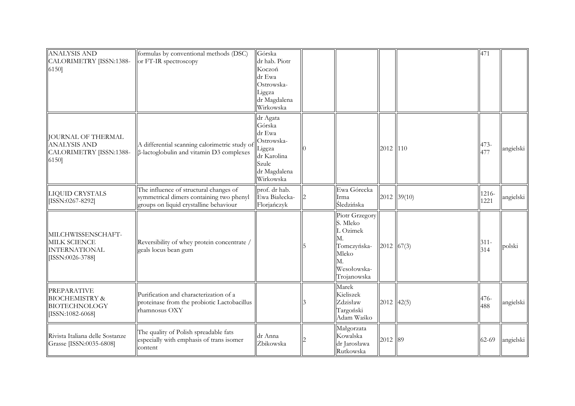| <b>ANALYSIS AND</b>                                                                   | formulas by conventional methods (DSC)                                                                                       | Górska                                                                                                    |                                                                                                          |              |               | 471            |           |
|---------------------------------------------------------------------------------------|------------------------------------------------------------------------------------------------------------------------------|-----------------------------------------------------------------------------------------------------------|----------------------------------------------------------------------------------------------------------|--------------|---------------|----------------|-----------|
| CALORIMETRY [ISSN:1388-<br>6150]                                                      | or FT-IR spectroscopy                                                                                                        | dr hab. Piotr<br>Koczoń<br>dr Ewa<br>Ostrowska-<br>Ligęza<br>dr Magdalena<br>Wirkowska                    |                                                                                                          |              |               |                |           |
| <b>JOURNAL OF THERMAL</b><br><b>ANALYSIS AND</b><br>CALORIMETRY [ISSN:1388-<br>6150]  | A differential scanning calorimetric study of<br>$\beta$ -lactoglobulin and vitamin D3 complexes                             | dr Agata<br>Górska<br>dr Ewa<br>Ostrowska-<br>Ligęza<br>dr Karolina<br>Szulc<br>dr Magdalena<br>Wirkowska |                                                                                                          | 2012 110     |               | 473-<br>477    | angielski |
| LIQUID CRYSTALS<br>[ISSN:0267-8292]                                                   | The influence of structural changes of<br>symmetrical dimers containing two phenyl<br>groups on liquid crystalline behaviour | prof. dr hab.<br>Ewa Białecka-<br>Florjańczyk                                                             | Ewa Górecka<br>Irma<br>Śledzińska                                                                        |              | $2012$ 39(10) | 1216-<br>1221  | angielski |
| MILCHWISSENSCHAFT-<br><b>MILK SCIENCE</b><br><b>INTERNATIONAL</b><br>[ISSN:0026-3788] | Reversibility of whey protein concentrate /<br>geals locus bean gum                                                          |                                                                                                           | Piotr Grzegory<br>S. Mleko<br>L Ozimek<br>М.<br>Tomczyńska-<br>Mleko<br>M.<br>Wesołowska-<br>Trojanowska | $2012$ 67(3) |               | $311 -$<br>314 | polski    |
| <b>PREPARATIVE</b><br><b>BIOCHEMISTRY &amp;</b><br>BIOTECHNOLOGY<br>[ISSN:1082-6068]  | Purification and characterization of a<br>proteinase from the probiotic Lactobacillus<br>rhamnosus OXY                       |                                                                                                           | Marek<br>Kieliszek<br>Zdzisław<br>Targoński<br>Adam Waśko                                                | $2012$ 42(5) |               | 476-<br>488    | angielski |
| Rivista Italiana delle Sostanze<br>Grasse [ISSN:0035-6808]                            | The quality of Polish spreadable fats<br>especially with emphasis of trans isomer<br>content                                 | dr Anna<br>Żbikowska                                                                                      | Małgorzata<br>Kowalska<br>dr Jarosława<br>Rutkowska                                                      | 2012 89      |               | 62-69          | angielski |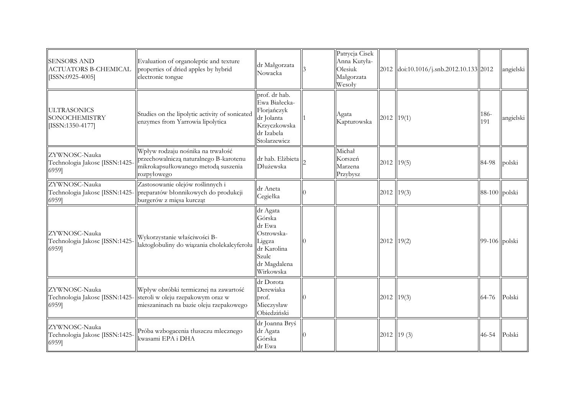| <b>SENSORS AND</b><br><b>ACTUATORS B-CHEMICAL</b><br>[ISSN:0925-4005] | Evaluation of organoleptic and texture<br>properties of dried apples by hybrid<br>electronic tongue                               | dr Małgorzata<br>Nowacka                                                                                  | Patrycja Cisek<br>Anna Kutyła-<br>Olesiuk<br>Małgorzata<br>Wesoly |              | $\left  \frac{2012}{\text{doi}:10.1016}{\text{.snb}.2012.10.133} \right  2012$ |                 | angielski |
|-----------------------------------------------------------------------|-----------------------------------------------------------------------------------------------------------------------------------|-----------------------------------------------------------------------------------------------------------|-------------------------------------------------------------------|--------------|--------------------------------------------------------------------------------|-----------------|-----------|
| <b>ULTRASONICS</b><br><b>SONOCHEMISTRY</b><br>[ISSN:1350-4177]        | Studies on the lipolytic activity of sonicated<br>enzymes from Yarrowia lipolytica                                                | prof. dr hab.<br>Ewa Białecka-<br>Florjańczyk<br>dr Jolanta<br>Krzyczkowska<br>dr Izabela<br>Stolarzewicz | Agata<br>Kapturowska                                              | $2012$ 19(1) |                                                                                | 186-<br>191     | angielski |
| ZYWNOSC-Nauka<br>Technologia Jakosc [ISSN:1425-<br>6959]              | Wpływ rodzaju nośnika na trwałość<br>przechowalniczą naturalnego B-karotenu<br>mikrokapsułkowanego metodą suszenia<br>rozpyłowego | dr hab. Elżbieta<br>Dłużewska                                                                             | Michał<br>Korszeń<br>Marzena<br>Przybysz                          | $2012$ 19(5) |                                                                                | 84-98           | polski    |
| ZYWNOSC-Nauka<br>Technologia Jakosc [ISSN:1425-<br>6959]              | Zastosowanie olejów roślinnych i<br>preparatów błonnikowych do produkcji<br>burgerów z mięsa kurcząt                              | dr Aneta<br>Cegiełka                                                                                      |                                                                   | $2012$ 19(3) |                                                                                | $88-100$ polski |           |
| ZYWNOSC-Nauka<br>Technologia Jakosc [ISSN:1425-<br>6959]              | Wykorzystanie właściwości B-<br>laktoglobuliny do wiązania cholekalcyferolu                                                       | dr Agata<br>Górska<br>dr Ewa<br>Ostrowska-<br>Ligęza<br>dr Karolina<br>Szulc<br>dr Magdalena<br>Wirkowska |                                                                   | $2012$ 19(2) |                                                                                | $99-106$ polski |           |
| ZYWNOSC-Nauka<br>Technologia Jakosc [ISSN:1425-<br>6959]              | Wpływ obróbki termicznej na zawartość<br>steroli w oleju rzepakowym oraz w<br>mieszaninach na bazie oleju rzepakowego             | dr Dorota<br>Derewiaka<br>prof.<br>Mieczysław<br>Obiedziński                                              |                                                                   | $2012$ 19(3) |                                                                                | 64-76           | Polski    |
| ZYWNOSC-Nauka<br>Technologia Jakosc [ISSN:1425-<br>6959]              | Próba wzbogacenia tłuszczu mlecznego<br>kwasami EPA i DHA                                                                         | dr Joanna Bryś<br>dr Agata<br>Górska<br>dr Ewa                                                            |                                                                   | 2012   19(3) |                                                                                | $46 - 54$       | Polski    |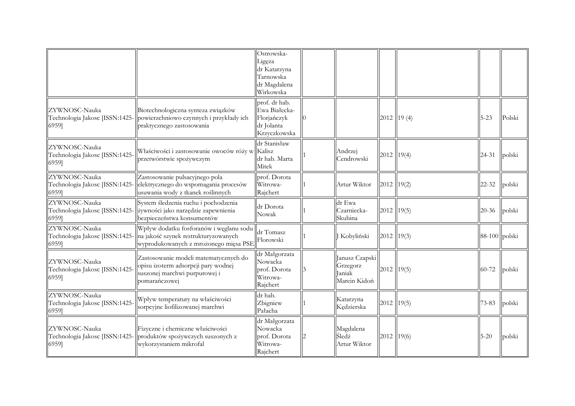|                                                          |                                                                                                                                                          | Ostrowska-<br>Ligeza<br>dr Katarzyna<br>Tarnowska<br>dr Magdalena<br>Wirkowska |                                                      |                 |                 |        |
|----------------------------------------------------------|----------------------------------------------------------------------------------------------------------------------------------------------------------|--------------------------------------------------------------------------------|------------------------------------------------------|-----------------|-----------------|--------|
| ZYWNOSC-Nauka<br>6959]                                   | Biotechnologiczna synteza związków<br>Technologia Jakosc [ISSN:1425- powierzchniowo czynnych i przykłady ich<br>praktycznego zastosowania                | prof. dr hab.<br>Ewa Białecka-<br>Florjańczyk<br>dr Jolanta<br>Krzyczkowska    |                                                      | $2012$   19 (4) | $5 - 23$        | Polski |
| ZYWNOSC-Nauka<br>Technologia Jakosc [ISSN:1425-<br>6959] | Właściwości i zastosowanie owoców róży w Kalisz<br>przetwórstwie spożywczym                                                                              | dr Stanisław<br>dr hab. Marta<br>Mitek                                         | Andrzej<br>Cendrowski                                | $2012$ 19(4)    | 24-31           | polski |
| ZYWNOSC-Nauka<br>6959]                                   | Zastosowanie pulsacyjnego pola<br>Technologia Jakosc [ISSN:1425-  elektrycznego do wspomagania procesów<br>usuwania wody z tkanek roślinnych             | prof. Dorota<br>Witrowa-<br>Rajchert                                           | Artur Wiktor                                         | $2012$ 19(2)    | 22-32           | polski |
| ZYWNOSC-Nauka<br>6959]                                   | System śledzenia ruchu i pochodzenia<br>Technologia Jakosc [ISSN:1425- zywności jako narzędzie zapewnienia<br>bezpieczeństwa konsumentów                 | dr Dorota<br>Nowak                                                             | dr Ewa<br>Czarniecka-<br>Skubina                     | $2012$ 19(5)    | 20-36           | polski |
| ZYWNOSC-Nauka<br>6959]                                   | Wpływ dodatku fosforanów i węglanu sodu<br>Technologia Jakosc [ISSN:1425-] na jakość szynek restrukturyzowanych<br>wyprodukowanych z mrożonego mięsa PSE | dr Tomasz<br>Florowski                                                         | Kobyliński                                           | $2012$ 19(3)    | $88-100$ polski |        |
| ZYWNOSC-Nauka<br>Technologia Jakosc [ISSN:1425-<br>6959] | Zastosowanie modeli matematycznych do<br>opisu izoterm adsorpcji pary wodnej<br>suszonej marchwi purpurowej i<br>pomarańczowej                           | dr Małgorzata<br>Nowacka<br>prof. Dorota<br>Witrowa-<br>Rajchert               | Janusz Czapski<br>Grzegorz<br>Janiak<br>Marcin Kidoń | $2012$ 19(5)    | 60-72           | polski |
| ZYWNOSC-Nauka<br>Technologia Jakosc [ISSN:1425-<br>6959] | Wpływ temperatury na właściwości<br>sorpcyjne liofilizowanej marchwi                                                                                     | dr hab.<br>Zbigniew<br>Pałacha                                                 | Katarzyna<br>Kędzierska                              | $2012$ 19(5)    | 73-83           | polski |
| ZYWNOSC-Nauka<br>6959]                                   | Fizyczne i chemiczne właściwości<br>Technologia Jakosc [ISSN:1425- produktów spożywczych suszonych z<br>wykorzystaniem mikrofal                          | dr Małgorzata<br>Nowacka<br>prof. Dorota<br>Witrowa-<br>Rajchert               | Magdalena<br>Śledź<br>Artur Wiktor                   | $2012$ 19(6)    | $5 - 20$        | polski |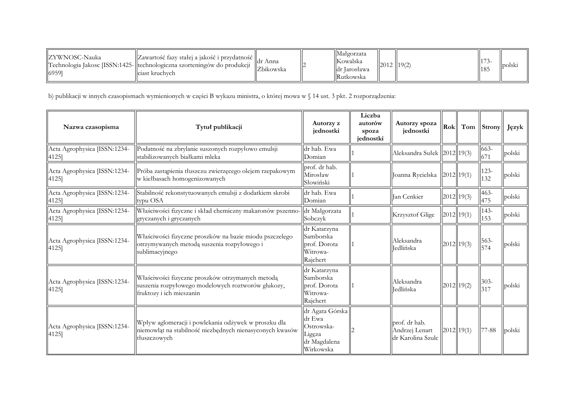| IZYWNOSC-Nauka<br>69591 | $\ $ Zawartość fazy stałej a jakość i przydatność $\ $ ,<br>Technologia Jakosc [ISSN:1425-  technologiczna szorteningów do produkcji<br>Iciast kruchych | dr Anna<br>Zbikowska |  | Małgorzata<br>  Kowalska<br>Idr Iarosława<br><b>Rutkowska</b> | 2012 19(2) |  |  | <b>l</b> polsk |
|-------------------------|---------------------------------------------------------------------------------------------------------------------------------------------------------|----------------------|--|---------------------------------------------------------------|------------|--|--|----------------|
|-------------------------|---------------------------------------------------------------------------------------------------------------------------------------------------------|----------------------|--|---------------------------------------------------------------|------------|--|--|----------------|

b) publikacji w innych czasopismach wymienionych w części B wykazu ministra, o której mowa w § 14 ust. 3 pkt. 2 rozporządzenia:

| Nazwa czasopisma                      | Tytuł publikacji                                                                                                                   | Autorzy z<br>jednostki                                                         | Liczba<br>autorów<br>spoza<br>jednostki | Autorzy spoza<br>jednostki                           | Rok |              | Tom Strony     | Język  |
|---------------------------------------|------------------------------------------------------------------------------------------------------------------------------------|--------------------------------------------------------------------------------|-----------------------------------------|------------------------------------------------------|-----|--------------|----------------|--------|
| Acta Agrophysica [ISSN:1234-<br>4125] | Podatność na zbrylanie suszonych rozpyłowo emulsji<br>stabilizowanych białkami mleka                                               | dr hab. Ewa<br>Domian                                                          |                                         | Aleksandra Sułek 2012 19(3)                          |     |              | 663-<br>671    | polski |
| Acta Agrophysica [ISSN:1234-<br>4125] | Próba zastąpienia tłuszczu zwierzęcego olejem rzepakowym<br>w kiełbasach homogenizowanych                                          | prof. dr hab.<br>Mirosław<br>Słowiński                                         |                                         | Joanna Rycielska 2012 19(1)                          |     |              | $123 -$<br>132 | polski |
| Acta Agrophysica [ISSN:1234-<br>4125] | Stabilność rekonstytuowanych emulsji z dodatkiem skrobi<br>typu OSA                                                                | dr hab. Ewa<br>Domian                                                          |                                         | Jan Cenkier                                          |     | $2012$ 19(3) | $463 -$<br>475 | polski |
| Acta Agrophysica [ISSN:1234-<br>4125] | Właściwości fizyczne i skład chemiczny makaronów pszenno-<br>gryczanych i gryczanych                                               | dr Małgorzata<br>Sobczyk                                                       |                                         | Krzysztof Glige                                      |     | $2012$ 19(1) | 143-<br>153    | polski |
| Acta Agrophysica [ISSN:1234-<br>4125] | Właściwości fizyczne proszków na bazie miodu pszczelego<br>otrzymywanych metodą suszenia rozpyłowego i<br>sublimacyjnego           | dr Katarzyna<br>Samborska<br>prof. Dorota<br>Witrowa-<br>Rajchert              |                                         | Aleksandra<br><b>Jedlińska</b>                       |     | $2012$ 19(3) | $563-$<br>574  | polski |
| Acta Agrophysica [ISSN:1234-<br>4125] | Właściwości fizyczne proszków otrzymanych metodą<br>suszenia rozpyłowego modelowych roztworów glukozy,<br>fruktozy i ich mieszanin | dr Katarzyna<br>Samborska<br>prof. Dorota<br>Witrowa-<br>Rajchert              |                                         | Aleksandra<br><b>Jedlińska</b>                       |     | $2012$ 19(2) | $303 -$<br>317 | polski |
| Acta Agrophysica [ISSN:1234-<br>4125] | Wpływ aglomeracji i powlekania odżywek w proszku dla<br>niemowląt na stabilność niezbędnych nienasyconych kwasów<br>tłuszczowych   | dr Agata Górska<br>dr Ewa<br>Ostrowska-<br>Ligęza<br>dr Magdalena<br>Wirkowska |                                         | prof. dr hab.<br>Andrzej Lenart<br>dr Karolina Szulc |     | $2012$ 19(1) | 77-88          | polski |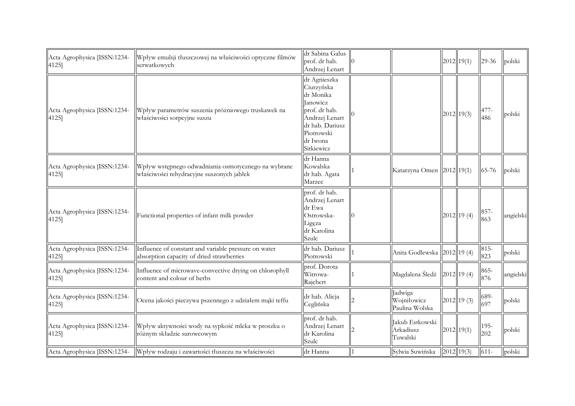| Acta Agrophysica [ISSN:1234-<br>4125] | Wpływ emulsji tłuszczowej na właściwości optyczne filmów<br>serwatkowych                          | dr Sabina Galus<br>prof. dr hab.<br>Andrzej Lenart                                                                                                       |                                          | $2012$ 19(1)  | 29-36          | polski    |
|---------------------------------------|---------------------------------------------------------------------------------------------------|----------------------------------------------------------------------------------------------------------------------------------------------------------|------------------------------------------|---------------|----------------|-----------|
| Acta Agrophysica [ISSN:1234-<br>4125] | Wpływ parametrów suszenia próżniowego truskawek na<br>właściwości sorpcyjne suszu                 | dr Agnieszka<br>Ciurzyńska<br>dr Monika<br><b>Janowicz</b><br>prof. dr hab.<br>Andrzej Lenart<br>dr hab. Dariusz<br>Piotrowski<br>dr Iwona<br>Sitkiewicz |                                          | $2012$ 19(3)  | 477-<br>486    | polski    |
| Acta Agrophysica [ISSN:1234-<br>4125] | Wpływ wstępnego odwadniania osmotycznego na wybrane<br>właściwości rehydracyjne suszonych jabłek  | dr Hanna<br>Kowalska<br>dr hab. Agata<br>Marzec                                                                                                          | Katarzyna Omen 2012 19(1)                |               | 65-76          | polski    |
| Acta Agrophysica [ISSN:1234-<br>4125] | Functional properties of infant milk powder                                                       | prof. dr hab.<br>Andrzej Lenart<br>dr Ewa<br>Ostrowska-<br>Ligeza<br>dr Karolina<br>Szulc                                                                |                                          | $2012$ 19 (4) | $857 -$<br>863 | angielski |
| Acta Agrophysica [ISSN:1234-<br>4125] | Influence of constant and variable pressure on water<br>absorption capacity of dried strawberries | dr hab. Dariusz<br>Piotrowski                                                                                                                            | Anita Godlewska 2012  19 (4)             |               | $815 -$<br>823 | polski    |
| Acta Agrophysica [ISSN:1234-<br>4125] | Influence of microwave-convective drying on chlorophyll<br>content and colour of herbs            | prof. Dorota<br>Witrowa-<br>Rajchert                                                                                                                     | Magdalena Śledź 2012 19 (4)              |               | 865-<br>876    | angielski |
| Acta Agrophysica [ISSN:1234-<br>4125] | Ocena jakości pieczywa pszennego z udziałem mąki teffu                                            | dr hab. Alicja<br>Ceglińska                                                                                                                              | Jadwiga<br>Wojniłowicz<br>Paulina Wolska | $2012$ 19 (3) | 689-<br>697    | polski    |
| Acta Agrophysica [ISSN:1234-<br>4125] | Wpływ aktywności wody na sypkość mleka w proszku o<br>różnym składzie surowcowym                  | prof. dr hab.<br>Andrzej Lenart<br>dr Karolina<br>Szulc                                                                                                  | Jakub Estkowski<br>Arkadiusz<br>Tuwalski | $2012$ 19(1)  | $195 -$<br>202 | polski    |
| Acta Agrophysica [ISSN:1234-          | Wpływ rodzaju i zawartości tłuszczu na właściwości                                                | dr Hanna                                                                                                                                                 | Sylwia Suwińska                          | 2012 19(3)    | $611 -$        | polski    |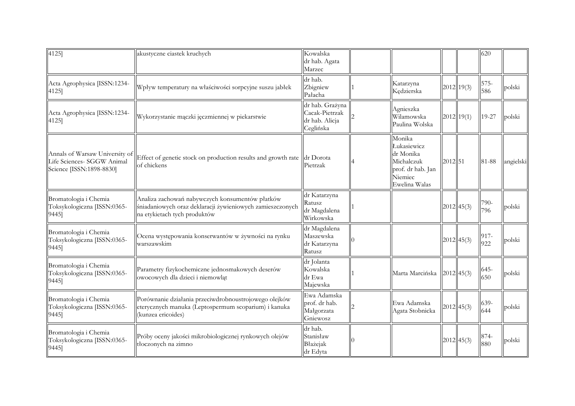| 4125]                                                                                    | akustyczne ciastek kruchych                                                                                                                  | Kowalska<br>dr hab. Agata<br>Marzec                              |                                                                                                   |         |              | 620            |           |
|------------------------------------------------------------------------------------------|----------------------------------------------------------------------------------------------------------------------------------------------|------------------------------------------------------------------|---------------------------------------------------------------------------------------------------|---------|--------------|----------------|-----------|
| Acta Agrophysica [ISSN:1234-<br>4125]                                                    | Wpływ temperatury na właściwości sorpcyjne suszu jabłek                                                                                      | dr hab.<br>Zbigniew<br>Pałacha                                   | Katarzyna<br>Kędzierska                                                                           |         | 2012 19(3)   | 575-<br>586    | polski    |
| Acta Agrophysica [ISSN:1234-<br>4125]                                                    | Wykorzystanie mączki jęczmiennej w piekarstwie                                                                                               | dr hab. Grażyna<br>Cacak-Pietrzak<br>dr hab. Alicja<br>Ceglińska | Agnieszka<br>Wilamowska<br>Paulina Wolska                                                         |         | 2012 19(1)   | 19-27          | polski    |
| Annals of Warsaw University of<br>Life Sciences- SGGW Animal<br>Science [ISSN:1898-8830] | Effect of genetic stock on production results and growth rate $\ \text{dr} \text{ Dorota}\ $<br>of chickens                                  | Pietrzak                                                         | Monika<br>Łukasiewicz<br>dr Monika<br>Michalczuk<br>prof. dr hab. Jan<br>Niemiec<br>Ewelina Walas | 2012 51 |              | 81-88          | angielski |
| Bromatologia i Chemia<br>Toksykologiczna [ISSN:0365-<br>9445]                            | Analiza zachowań nabywczych konsumentów płatków<br>śniadaniowych oraz deklaracji żywieniowych zamieszczonych<br>na etykietach tych produktów | dr Katarzyna<br>Ratusz<br>dr Magdalena<br>Wirkowska              |                                                                                                   |         | $2012$ 45(3) | 790-<br>796    | polski    |
| Bromatologia i Chemia<br>Toksykologiczna [ISSN:0365-<br>9445]                            | Ocena występowania konserwantów w żywności na rynku<br>warszawskim                                                                           | dr Magdalena<br>Maszewska<br>dr Katarzyna<br>Ratusz              |                                                                                                   |         | 2012 45(3)   | 917-<br>922    | polski    |
| Bromatologia i Chemia<br>Toksykologiczna [ISSN:0365-<br>9445]                            | Parametry fizykochemiczne jednosmakowych deserów<br>owocowych dla dzieci i niemowląt                                                         | dr Jolanta<br>Kowalska<br>dr Ewa<br>Majewska                     | Marta Marcińska                                                                                   |         | $2012$ 45(3) | $645 -$<br>650 | polski    |
| Bromatologia i Chemia<br>Toksykologiczna [ISSN:0365-<br>9445]                            | Porównanie działania przeciwdrobnoustrojowego olejków<br>eterycznych manuka (Leptospermum scoparium) i kanuka<br>(kunzea ericoides)          | Ewa Adamska<br>prof. dr hab.<br>Małgorzata<br>Gniewosz           | Ewa Adamska<br>Agata Stobnicka                                                                    |         | 2012 45(3)   | 639-<br>644    | polski    |
| Bromatologia i Chemia<br>Toksykologiczna [ISSN:0365-<br>9445]                            | Próby oceny jakości mikrobiologicznej rynkowych olejów<br>tłoczonych na zimno                                                                | dr hab.<br>Stanisław<br>Błażejak<br>dr Edyta                     |                                                                                                   |         | 2012 45(3)   | 874-<br>880    | polski    |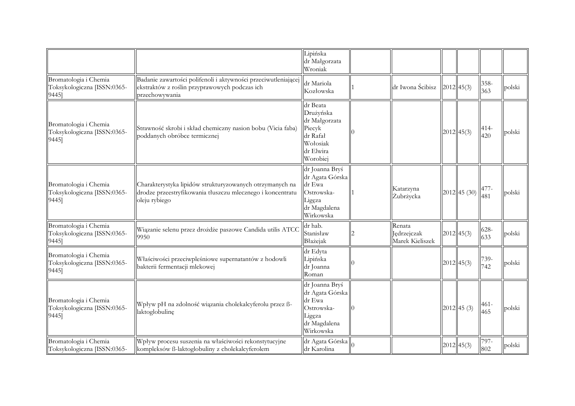|                                                               |                                                                                                                                         | Lipińska<br>dr Małgorzata<br>Wroniak                                                              |                                          |               |             |        |
|---------------------------------------------------------------|-----------------------------------------------------------------------------------------------------------------------------------------|---------------------------------------------------------------------------------------------------|------------------------------------------|---------------|-------------|--------|
| Bromatologia i Chemia<br>Toksykologiczna [ISSN:0365-<br>9445] | Badanie zawartości polifenoli i aktywności przeciwutleniającej<br>ekstraktów z roślin przyprawowych podczas ich<br>przechowywania       | dr Mariola<br>Kozłowska                                                                           | dr Iwona Ścibisz                         | $2012$ 45(3)  | 358-<br>363 | polski |
| Bromatologia i Chemia<br>Toksykologiczna [ISSN:0365-<br>9445] | Strawność skrobi i skład chemiczny nasion bobu (Vicia faba)<br>poddanych obróbce termicznej                                             | dr Beata<br>Drużyńska<br>dr Małgorzata<br>Piecyk<br>dr Rafał<br>Wołosiak<br>dr Elwira<br>Worobiei |                                          | $2012$ 45(3)  | 414-<br>420 | polski |
| Bromatologia i Chemia<br>Toksykologiczna [ISSN:0365-<br>9445] | Charakterystyka lipidów strukturyzowanych otrzymanych na<br>drodze przeestryfikowania tłuszczu mlecznego i koncentratu<br>bleju rybiego | dr Joanna Bryś<br>dr Agata Górska<br>dr Ewa<br>Ostrowska-<br>Ligęza<br>dr Magdalena<br>Wirkowska  | Katarzyna<br>Żubrżycka                   | 2012 45 (30)  | 477-<br>481 | polski |
| Bromatologia i Chemia<br>Toksykologiczna [ISSN:0365-<br>9445] | Wiązanie selenu przez drożdże paszowe Candida utilis ATCC<br>9950                                                                       | dr hab.<br>Stanisław<br>Błażejak                                                                  | Renata<br>Jędrzejczak<br>Marek Kieliszek | $2012$ 45(3)  | 628-<br>633 | polski |
| Bromatologia i Chemia<br>Toksykologiczna [ISSN:0365-<br>9445] | Właściwości przeciwpleśniowe supernatantów z hodowli<br>bakterii fermentacji mlekowej                                                   | dr Edyta<br>Lipińska<br>dr Joanna<br>Roman                                                        |                                          | $2012$ 45(3)  | 739-<br>742 | polski |
| Bromatologia i Chemia<br>Toksykologiczna [ISSN:0365-<br>9445] | Wpływ pH na zdolność wiązania cholekalcyferolu przez ß-<br>laktoglobulinę                                                               | dr Joanna Bryś<br>dr Agata Górska<br>dr Ewa<br>Ostrowska-<br>Ligęza<br>dr Magdalena<br>Wirkowska  |                                          | $2012$ 45 (3) | 461-<br>465 | polski |
| Bromatologia i Chemia<br>Toksykologiczna [ISSN:0365-          | Wpływ procesu suszenia na właściwości rekonstytucyjne<br>kompleksów ß-laktoglobuliny z cholekalcyferolem                                | $\overline{\text{dr}}$ Agata Górska $\big\ _0$<br>dr Karolina                                     |                                          | $2012$ 45(3)  | 797-<br>802 | polski |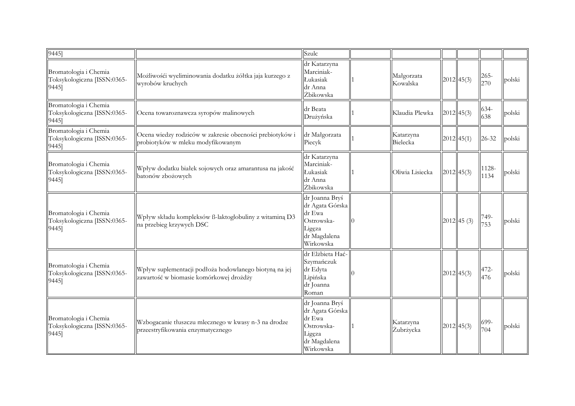| $\overline{9}445$ ]                                           |                                                                                                   | Szulc                                                                                            |                        |              |               |        |
|---------------------------------------------------------------|---------------------------------------------------------------------------------------------------|--------------------------------------------------------------------------------------------------|------------------------|--------------|---------------|--------|
| Bromatologia i Chemia<br>Toksykologiczna [ISSN:0365-<br>9445] | Możliwośći wyeliminowania dodatku żółtka jaja kurzego z<br>wyrobów kruchych                       | dr Katarzyna<br>Marciniak-<br>Łukasiak<br>dr Anna<br>Żbikowska                                   | Małgorzata<br>Kowalska | $2012$ 45(3) | 265-<br>270   | polski |
| Bromatologia i Chemia<br>Toksykologiczna [ISSN:0365-<br>9445] | Ocena towaroznawcza syropów malinowych                                                            | dr Beata<br>Drużyńska                                                                            | Klaudia Plewka         | 2012 45(3)   | 634-<br>638   | polski |
| Bromatologia i Chemia<br>Toksykologiczna [ISSN:0365-<br>9445] | Ocena wiedzy rodziców w zakresie obecności prebiotyków i<br>probiotyków w mleku modyfikowanym     | dr Małgorzata<br>Piecyk                                                                          | Katarzyna<br>Bielecka  | $2012$ 45(1) | $26 - 32$     | polski |
| Bromatologia i Chemia<br>Toksykologiczna [ISSN:0365-<br>9445] | Wpływ dodatku białek sojowych oraz amarantusa na jakość<br>batonów zbożowych                      | dr Katarzyna<br>Marciniak-<br>Łukasiak<br>dr Anna<br>Żbikowska                                   | Oliwia Lisiecka        | $2012$ 45(3) | 1128-<br>1134 | polski |
| Bromatologia i Chemia<br>Toksykologiczna [ISSN:0365-<br>9445] | Wpływ składu kompleksów ß-laktoglobuliny z witaminą D3<br>na przebieg krzywych DSC                | dr Joanna Bryś<br>dr Agata Górska<br>dr Ewa<br>Ostrowska-<br>Ligęza<br>dr Magdalena<br>Wirkowska |                        | 2012 45(3)   | 749-<br>753   | polski |
| Bromatologia i Chemia<br>Toksykologiczna [ISSN:0365-<br>9445] | Wpływ suplementacji podłoża hodowlanego biotyną na jej<br>zawartość w biomasie komórkowej drożdży | dr Elżbieta Hać-<br>Szymańczuk<br>dr Edyta<br>Lipińska<br>dr Joanna<br>Roman                     |                        | 2012 45(3)   | 472-<br>476   | polski |
| Bromatologia i Chemia<br>Toksykologiczna [ISSN:0365-<br>9445] | Wzbogacanie tłuszczu mlecznego w kwasy n-3 na drodze<br>przeestryfikowania enzymatycznego         | dr Joanna Bryś<br>dr Agata Górska<br>dr Ewa<br>Ostrowska-<br>Ligęza<br>dr Magdalena<br>Wirkowska | Katarzyna<br>Żubrżycka | 2012 45(3)   | 699-<br>704   | polski |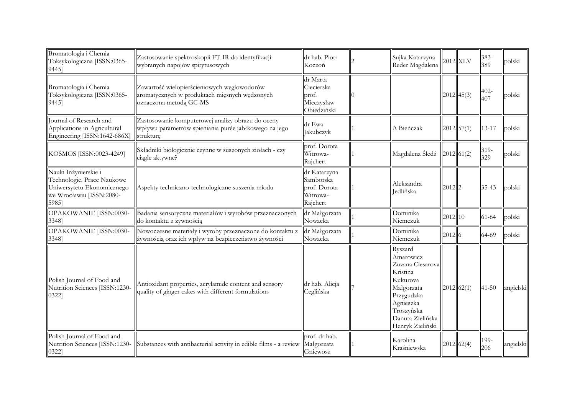| Bromatologia i Chemia<br>Toksykologiczna [ISSN:0365-<br>9445]                                                         | Zastosowanie spektroskopii FT-IR do identyfikacji<br>wybranych napojów spirytusowych                                    | dr hab. Piotr<br>Koczoń                                           | Sujka Katarzyna<br>Reder Magdalena                                                                                                                              |           | $2012$ XLV   | 383-<br>389    | polski    |
|-----------------------------------------------------------------------------------------------------------------------|-------------------------------------------------------------------------------------------------------------------------|-------------------------------------------------------------------|-----------------------------------------------------------------------------------------------------------------------------------------------------------------|-----------|--------------|----------------|-----------|
| Bromatologia i Chemia<br>Toksykologiczna [ISSN:0365-<br>9445]                                                         | Zawartość wielopierścieniowych węglowodorów<br>aromatycznych w produktach mięsnych wędzonych<br>oznaczona metodą GC-MS  | dr Marta<br>Ciecierska<br>prof.<br>Mieczysław<br>Obiedziński      |                                                                                                                                                                 |           | $2012$ 45(3) | $402 -$<br>407 | polski    |
| Journal of Research and<br>Applications in Agricultural<br>Engineering [ISSN:1642-686X]                               | Zastosowanie komputerowej analizy obrazu do oceny<br>wpływu parametrów spieniania purée jabłkowego na jego<br>strukture | dr Ewa<br>Jakubczyk                                               | A Bieńczak                                                                                                                                                      |           | $2012$ 57(1) | $13 - 17$      | polski    |
| KOSMOS [ISSN:0023-4249]                                                                                               | Składniki biologicznie czynne w suszonych ziołach - czy<br>ciągle aktywne?                                              | prof. Dorota<br>Witrowa-<br>Rajchert                              | Magdalena Śledź                                                                                                                                                 |           | 2012 61(2)   | 319-<br>329    | polski    |
| Nauki Inżynierskie i<br>Technologie. Prace Naukowe<br>Uniwersytetu Ekonomicznego<br>we Wrocławiu [ISSN:2080-<br>5985] | Aspekty techniczno-technologiczne suszenia miodu                                                                        | dr Katarzyna<br>Samborska<br>prof. Dorota<br>Witrowa-<br>Rajchert | Aleksandra<br>Jedlińska                                                                                                                                         | $2012$  2 |              | 35-43          | polski    |
| OPAKOWANIE [ISSN:0030-<br>3348]                                                                                       | Badania sensoryczne materiałów i wyrobów przeznaczonych<br>do kontaktu z żywnością                                      | dr Małgorzata<br>Nowacka                                          | Dominika<br>Niemczuk                                                                                                                                            | 2012 10   |              | $61 - 64$      | polski    |
| OPAKOWANIE [ISSN:0030-<br>3348]                                                                                       | Nowoczesne materiały i wyroby przeznaczone do kontaktu z<br>żywnością oraz ich wpływ na bezpieczeństwo żywności         | dr Małgorzata<br>Nowacka                                          | Dominika<br>Niemczuk                                                                                                                                            | 2012 6    |              | 64-69          | polski    |
| Polish Journal of Food and<br>Nutrition Sciences [ISSN:1230-<br>0322]                                                 | Antioxidant properties, acrylamide content and sensory<br>quality of ginger cakes with different formulations           | dr hab. Alicja<br>Ceglińska                                       | Ryszard<br>Amarowicz<br>Zuzana Ciesarova<br>Kristina<br>Kukurova<br>Małgorzata<br>Przygudzka<br>Agnieszka<br>Troszyńska<br>Danuta Zielińska<br>Henryk Zieliński |           | 2012 62(1)   | $41 - 50$      | angielski |
| Polish Journal of Food and<br>Nutrition Sciences [ISSN:1230-<br>0322]                                                 | Substances with antibacterial activity in edible films - a review                                                       | prof. dr hab.<br>Małgorzata<br>Gniewosz                           | Karolina<br>Kraśniewska                                                                                                                                         |           | 2012 62(4)   | 199-<br>206    | angielski |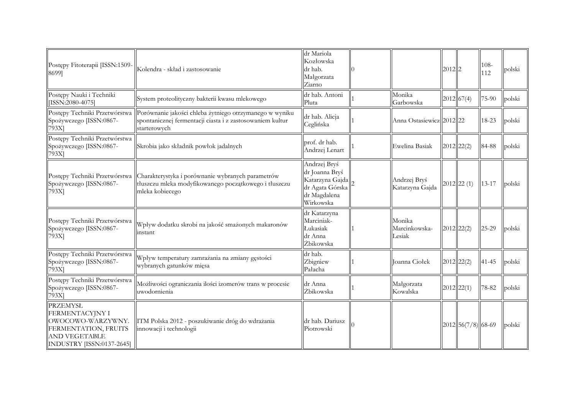| Postępy Fitoterapii [ISSN:1509-<br>8699]                                                                                                    | Kolendra - skład i zastosowanie                                                                                                      | dr Mariola<br>Kozłowska<br>dr hab.<br>Małgorzata<br>Ziarno                                        |                                   | $2012$  2 |                    | 108-<br>112 | polski |
|---------------------------------------------------------------------------------------------------------------------------------------------|--------------------------------------------------------------------------------------------------------------------------------------|---------------------------------------------------------------------------------------------------|-----------------------------------|-----------|--------------------|-------------|--------|
| Postępy Nauki i Techniki<br>[ISSN:2080-4075]                                                                                                | System proteolityczny bakterii kwasu mlekowego                                                                                       | dr hab. Antoni<br>Pluta                                                                           | Monika<br>Garbowska               |           | 2012 67(4)         | 75-90       | polski |
| Postępy Techniki Przetwórstwa<br>Spożywczego [ISSN:0867-<br>793X                                                                            | Porównanie jakości chleba żytniego otrzymanego w wyniku<br>spontanicznej fermentacji ciasta i z zastosowaniem kultur<br>starterowych | dr hab. Alicja<br>Ceglińska                                                                       | Anna Ostasiewicz 2012 22          |           |                    | 18-23       | polski |
| Postępy Techniki Przetwórstwa<br>Spożywczego [ISSN:0867-<br>793X <sub>1</sub>                                                               | Skrobia jako składnik powłok jadalnych                                                                                               | prof. dr hab.<br>Andrzej Lenart                                                                   | Ewelina Basiak                    |           | $2012$ $22(2)$     | 84-88       | polski |
| Postępy Techniki Przetwórstwa<br>Spożywczego [ISSN:0867-<br>793X]                                                                           | Charakterystyka i porównanie wybranych parametrów<br>tłuszczu mleka modyfikowanego początkowego i tłuszczu<br>mleka kobiecego        | Andrzej Bryś<br>dr Joanna Bryś<br>Katarzyna Gajda<br>dr Agata Górska<br>dr Magdalena<br>Wirkowska | Andrzej Bryś<br>Katarzyna Gajda   |           | $2012$ $22(1)$     | $13 - 17$   | polski |
| Postępy Techniki Przetwórstwa<br>Spożywczego [ISSN:0867-<br>793X <sub>1</sub>                                                               | Wpływ dodatku skrobi na jakość smażonych makaronów<br>instant                                                                        | dr Katarzyna<br>Marciniak-<br>Łukasiak<br>dr Anna<br>Żbikowska                                    | Monika<br>Marcinkowska-<br>Lesiak |           | $2012$ $22(2)$     | $25 - 29$   | polski |
| Postępy Techniki Przetwórstwa<br>Spożywczego [ISSN:0867-<br>793X]                                                                           | Wpływ temperatury zamrażania na zmiany gęstości<br>wybranych gatunków mięsa                                                          | dr hab.<br>Zbigniew<br>Pałacha                                                                    | Joanna Ciołek                     |           | $2012$ 22(2)       | $41 - 45$   | polski |
| Postępy Techniki Przetwórstwa<br>Spożywczego [ISSN:0867-<br>793X                                                                            | Możliwości ograniczania ilości izomerów trans w procesie<br>uwodornienia                                                             | dr Anna<br>Żbikowska                                                                              | Małgorzata<br>Kowalska            |           | $2012$ 22(1)       | 78-82       | polski |
| <b>PRZEMYSŁ</b><br><b>FERMENTACYJNY I</b><br>OWOCOWO-WARZYWNY.<br>FERMENTATION, FRUITS<br><b>AND VEGETABLE</b><br>INDUSTRY [ISSN:0137-2645] | TTM Polska 2012 - poszukiwanie dróg do wdrażania<br>innowacji i technologii                                                          | dr hab. Dariusz<br>Piotrowski                                                                     |                                   |           | 2012 56(7/8) 68-69 |             | polski |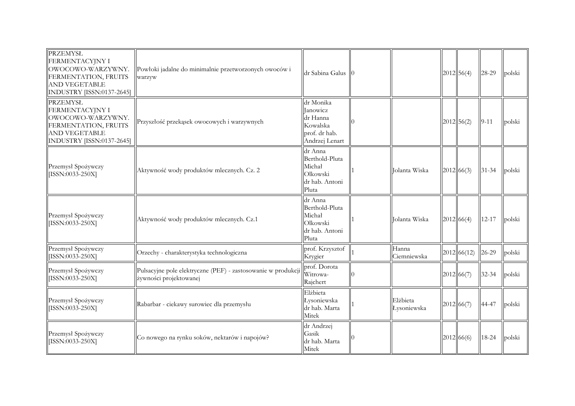| PRZEMYSŁ<br>FERMENTACYJNY I<br>OWOCOWO-WARZYWNY.<br>FERMENTATION, FRUITS<br><b>AND VEGETABLE</b><br>INDUSTRY [ISSN:0137-2645]        | Powłoki jadalne do minimalnie przetworzonych owoców i<br>warzyw                        | dr Sabina Galus                                                                         |                         | $2012$ 56(4)    | 28-29     | polski |
|--------------------------------------------------------------------------------------------------------------------------------------|----------------------------------------------------------------------------------------|-----------------------------------------------------------------------------------------|-------------------------|-----------------|-----------|--------|
| <b>PRZEMYSŁ</b><br>FERMENTACYJNY I<br>OWOCOWO-WARZYWNY.<br>FERMENTATION, FRUITS<br><b>AND VEGETABLE</b><br>INDUSTRY [ISSN:0137-2645] | Przyszłość przekąsek owocowych i warzywnych                                            | dr Monika<br><b>Janowicz</b><br>dr Hanna<br>Kowalska<br>prof. dr hab.<br>Andrzej Lenart |                         | $2012$ 56(2)    | $9 - 11$  | polski |
| Przemysł Spożywczy<br>[ISSN:0033-250X]                                                                                               | Aktywność wody produktów mlecznych. Cz. 2                                              | dr Anna<br>Berthold-Pluta<br>Michał<br>Olkowski<br>dr hab. Antoni<br>Pluta              | Jolanta Wiska           | 2012 66(3)      | $31 - 34$ | polski |
| Przemysł Spożywczy<br>[ISSN:0033-250X]                                                                                               | Aktywność wody produktów mlecznych. Cz.1                                               | dr Anna<br>Berthold-Pluta<br>Michał<br>Olkowski<br>dr hab. Antoni<br>Pluta              | Jolanta Wiska           | 2012 66(4)      | $12 - 17$ | polski |
| Przemysł Spożywczy<br>[ISSN:0033-250X]                                                                                               | Orzechy - charakterystyka technologiczna                                               | prof. Krzysztof<br>Krygier                                                              | Hanna<br>Ciemniewska    | $ 2012 $ 66(12) | 26-29     | polski |
| Przemysł Spożywczy<br>[ISSN:0033-250X]                                                                                               | Pulsacyjne pole elektryczne (PEF) - zastosowanie w produkcji<br>żywności projektowanej | prof. Dorota<br>Witrowa-<br>Rajchert                                                    |                         | 2012 66(7)      | 32-34     | polski |
| Przemysł Spożywczy<br>[ISSN:0033-250X]                                                                                               | Rabarbar - ciekawy surowiec dla przemysłu                                              | Elżbieta<br>Łysoniewska<br>dr hab. Marta<br>Mitek                                       | Elżbieta<br>Łysoniewska | 2012 66(7)      | 44-47     | polski |
| Przemysł Spożywczy<br>[ISSN:0033-250X]                                                                                               | Co nowego na rynku soków, nektarów i napojów?                                          | dr Andrzej<br>Gasik<br>dr hab. Marta<br>Mitek                                           |                         | 2012 66(6)      | 18-24     | polski |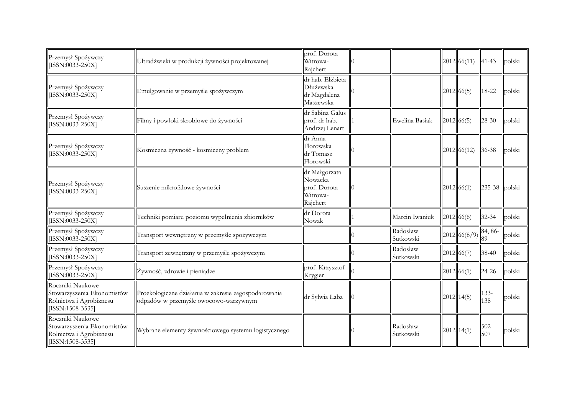| Przemysł Spożywczy<br>[ISSN:0033-250X]                                                          | Ultradźwięki w produkcji żywności projektowanej                                               | prof. Dorota<br>Witrowa-<br>Rajchert                             |                       | 2012   66(11) | $41 - 43$      | polski |
|-------------------------------------------------------------------------------------------------|-----------------------------------------------------------------------------------------------|------------------------------------------------------------------|-----------------------|---------------|----------------|--------|
| Przemysł Spożywczy<br>[ISSN:0033-250X]                                                          | Emulgowanie w przemyśle spożywczym                                                            | dr hab. Elżbieta<br>Dłużewska<br>dr Magdalena<br>Maszewska       |                       | 2012 66(5)    | 18-22          | polski |
| Przemysł Spożywczy<br>[ISSN:0033-250X]                                                          | Filmy i powłoki skrobiowe do żywności                                                         | dr Sabina Galus<br>prof. dr hab.<br>Andrzej Lenart               | Ewelina Basiak        | 2012 66(5)    | 28-30          | polski |
| Przemysł Spożywczy<br>[ISSN:0033-250X]                                                          | Kosmiczna żywność - kosmiczny problem                                                         | dr Anna<br>Florowska<br>dr Tomasz<br>Florowski                   |                       | 2012 66(12)   | $36 - 38$      | polski |
| Przemysł Spożywczy<br>[ISSN:0033-250X]                                                          | Suszenie mikrofalowe żywności                                                                 | dr Małgorzata<br>Nowacka<br>prof. Dorota<br>Witrowa-<br>Rajchert |                       | 2012 66(1)    | 235-38 polski  |        |
| Przemysł Spożywczy<br>[ISSN:0033-250X]                                                          | Techniki pomiaru poziomu wypełnienia zbiorników                                               | dr Dorota<br>Nowak                                               | Marcin Iwaniuk        | 2012 66(6)    | 32-34          | polski |
| Przemysł Spożywczy<br>[ISSN:0033-250X]                                                          | Transport wewnętrzny w przemyśle spożywczym                                                   |                                                                  | Radosław<br>Sutkowski | 2012 66(8/9)  | 84, 86-<br>89  | polski |
| Przemysł Spożywczy<br>[ISSN:0033-250X]                                                          | Transport zewnętrzny w przemyśle spożywczym                                                   |                                                                  | Radosław<br>Sutkowski | 2012 66(7)    | 38-40          | polski |
| Przemysł Spożywczy<br>[ISSN:0033-250X]                                                          | Żywność, zdrowie i pieniądze                                                                  | prof. Krzysztof<br>Krygier                                       |                       | 2012 66(1)    | $24 - 26$      | polski |
| Roczniki Naukowe<br>Stowarzyszenia Ekonomistów<br>Rolnictwa i Agrobiznesu<br>$[ISSN:1508-3535]$ | Proekologiczne działania w zakresie zagospodarowania<br>odpadów w przemyśle owocowo-warzywnym | dr Sylwia Łaba                                                   |                       | $2012$ 14(5)  | $133 -$<br>138 | polski |
| Roczniki Naukowe<br>Stowarzyszenia Ekonomistów<br>Rolnictwa i Agrobiznesu<br>[ISSN:1508-3535]   | Wybrane elementy żywnościowego systemu logistycznego                                          |                                                                  | Radosław<br>Sutkowski | $2012$ 14(1)  | $502 -$<br>507 | polski |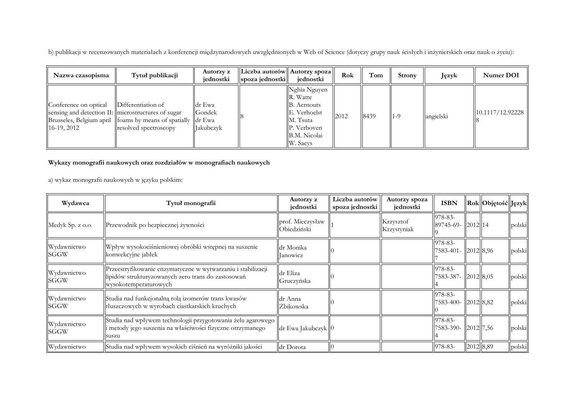b) publikacji w recenzowanych materiałach z konferencji międzynarodowych uwzględnionych w Web of Science (dotyczy grupy nauk ścisłych i inżynierskich oraz nauk o życiu):

| Nazwa czasopisma                       | Tytuł publikacji                                                                                                                                                     | Autorzy z<br>iednostki               | Liczba autorów   Autorzy spoza   <br>$\left\Vert$ spoza jednostki $\right\Vert$ | iednostki                                                                                                      | Rok  | Tom  | <b>Strony</b> | Język     | Numer DOI        |
|----------------------------------------|----------------------------------------------------------------------------------------------------------------------------------------------------------------------|--------------------------------------|---------------------------------------------------------------------------------|----------------------------------------------------------------------------------------------------------------|------|------|---------------|-----------|------------------|
| Conference on optical<br>$16-19, 2012$ | Differentiation of<br>sensing and detection II: microstructures of sugar<br>Brusseles, Belgium april   foams by means of spatially   dr Ewa<br>resolved spectroscopy | dr Ewa<br>Gondek<br><b>Iakubczyk</b> |                                                                                 | Nghia Nguyen<br>R. Watte<br>B. Aernouts<br>E. Verhoelst<br>M. Tsuta<br>P. Verboven<br>B.M. Nicolai<br>W. Saevs | 2012 | 8439 | $1 - 9$       | angielski | 10.1117/12.92228 |

## **Wykazy monografii naukowych oraz rozdziałów w monografiach naukowych**

a) wykaz monografii naukowych w języku polskim:

| Wydawca             | Tytuł monografii                                                                                                                            | Autorzy z<br>jednostki          | Liczba autorów<br>spoza jednostki | Autorzy spoza<br>jednostki | <b>ISBN</b>                    |           | Rok Objętość Język |        |
|---------------------|---------------------------------------------------------------------------------------------------------------------------------------------|---------------------------------|-----------------------------------|----------------------------|--------------------------------|-----------|--------------------|--------|
| Medyk Sp. z o.o.    | Przewodnik po bezpiecznej żywności                                                                                                          | prof. Mieczysław<br>Obiedziński |                                   | Krzysztof<br>Krzystyniak   | 978-83-<br>89745-69- 2012 14   |           |                    | polski |
| Wydawnictwo<br>SGGW | Wpływ wysokociśnieniowej obróbki wstępnej na suszenie<br>konwekcyjne jabłek                                                                 | dr Monika<br><b>Janowicz</b>    |                                   |                            | 978-83-<br>7583-401-           | 2012 8,96 |                    | polski |
| Wydawnictwo<br>SGGW | Przeestryfikowanie enzymatyczne w wytwarzaniu i stabilizacji<br>lipidów strukturyzowanych zero trans do zastosowań<br>wysokotemperaturowych | dr Eliza<br>Gruczyńska          |                                   |                            | 978-83-<br>7583-387-           | 2012 8,05 |                    | polski |
| Wydawnictwo<br>SGGW | Studia nad funkcjonalną rolą izomerów trans kwasów<br>tłuszczowych w wyrobach ciastkarskich kruchych                                        | ldr Anna<br>Żbikowska           |                                   |                            | 978-83-<br>7583-400- 2012 8,82 |           |                    | polski |
| Wydawnictwo<br>SGGW | Studia nad wpływem technologii przygotowania żelu agarowego<br>i metody jego suszenia na właściwości fizyczne otrzymanego<br>suszu          | dr Ewa Jakubczyk   0            |                                   |                            | 978-83-<br>7583-390- 2012 7,56 |           |                    | polski |
| Wydawnictwo         | Studia nad wpływem wysokich ciśnień na wyróżniki jakości                                                                                    | dr Dorota                       |                                   |                            | 978-83-                        | 2012 8,89 |                    | polski |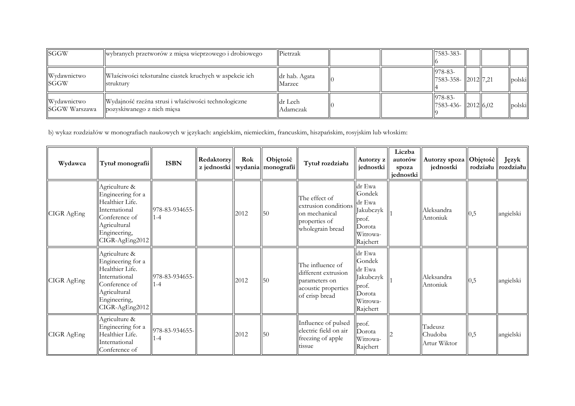| <b>SGGW</b>                         | wybranych przetworów z mięsa wieprzowego i drobiowego                              | Pietrzak                |  | $17583 - 383 - 1$                         |  |        |
|-------------------------------------|------------------------------------------------------------------------------------|-------------------------|--|-------------------------------------------|--|--------|
| Wydawnictwo<br><b>ISGGW</b>         | Właściwości teksturalne ciastek kruchych w aspekcie ich<br>strukturv               | dr hab. Agata<br>Marzec |  | $978 - 83 -$<br>$  7583-358-  2012  7,21$ |  | polski |
| Wydawnictwo<br><b>SGGW Warszawa</b> | Wydajność rzeźna strusi i właściwości technologiczne<br>pozyskiwanego z nich mięsa | dr Lech<br>Adamczak     |  | 978-83-<br>  7583-436-   2012  6.02       |  | polski |

b) wykaz rozdziałów w monografiach naukowych w językach: angielskim, niemieckim, francuskim, hiszpańskim, rosyjskim lub włoskim:

| Wydawca    | Tytuł monografii                                                                                                                          | <b>ISBN</b>               | Redaktorzy | Rok  | Objętość<br>z jednostki   wydania  monografii | Tytuł rozdziału                                                                                   | Autorzy z<br>jednostki                                                                           | Liczba<br>autorów<br>spoza<br>jednostki | Autorzy spoza   Objętość  <br>jednostki |          | Język<br>rodziału rozdziału |
|------------|-------------------------------------------------------------------------------------------------------------------------------------------|---------------------------|------------|------|-----------------------------------------------|---------------------------------------------------------------------------------------------------|--------------------------------------------------------------------------------------------------|-----------------------------------------|-----------------------------------------|----------|-----------------------------|
| CIGR AgEng | Agriculture &<br>Engineering for a<br>Healthier Life.<br>International<br>Conference of<br>Agricultural<br>Engineering,<br>CIGR-AgEng2012 | 978-83-934655-<br>$1 - 4$ |            | 2012 | 50                                            | The effect of<br>extrusion conditions<br>on mechanical<br>properties of<br>wholegrain bread       | dr Ewa<br>Gondek<br>dr Ewa<br>Jakubczyk<br>prof.<br>Dorota<br>Witrowa-<br>Rajchert               |                                         | Aleksandra<br>Antoniuk                  | $_{0,5}$ | angielski                   |
| CIGR AgEng | Agriculture &<br>Engineering for a<br>Healthier Life.<br>International<br>Conference of<br>Agricultural<br>Engineering,<br>CIGR-AgEng2012 | 978-83-934655-<br>$1 - 4$ |            | 2012 | $\overline{50}$                               | The influence of<br>different extrusion<br>parameters on<br>acoustic properties<br>of crisp bread | dr Ewa<br>Gondek<br>dr Ewa<br>Jakubczyk<br>$\vert \vert$ prof.<br>Dorota<br>Witrowa-<br>Rajchert |                                         | Aleksandra<br>Antoniuk                  | $_{0,5}$ | angielski                   |
| CIGR AgEng | Agriculture &<br>Engineering for a<br>Healthier Life.<br>International<br>Conference of                                                   | 978-83-934655-<br>$1 - 4$ |            | 2012 | $\overline{50}$                               | Influence of pulsed<br>electric field on air<br>freezing of apple<br>tissue                       | prof.<br>Dorota<br>Witrowa-<br>Rajchert                                                          |                                         | Tadeusz<br>Chudoba<br>Artur Wiktor      | 0,5      | angielski                   |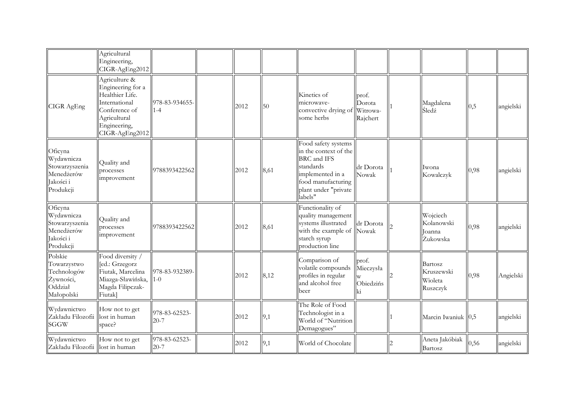|                                                                                 | Agricultural<br>Engineering,<br>CIGR-AgEng2012                                                                                            |                           |      |      |                                                                                                                                                       |                                         |                                              |          |           |
|---------------------------------------------------------------------------------|-------------------------------------------------------------------------------------------------------------------------------------------|---------------------------|------|------|-------------------------------------------------------------------------------------------------------------------------------------------------------|-----------------------------------------|----------------------------------------------|----------|-----------|
| CIGR AgEng                                                                      | Agriculture &<br>Engineering for a<br>Healthier Life.<br>International<br>Conference of<br>Agricultural<br>Engineering,<br>CIGR-AgEng2012 | 978-83-934655<br>$1 - 4$  | 2012 | 50   | Kinetics of<br>microwave-<br>convective drying of<br>some herbs                                                                                       | prof.<br>Dorota<br>Witrowa-<br>Rajchert | Magdalena<br>Śledź                           | $_{0,5}$ | angielski |
| Oficyna<br>Wydawnicza<br>Stowarzyszenia<br>Menedżerów<br>Jakości i<br>Produkcji | Quality and<br>processes<br>improvement                                                                                                   | 9788393422562             | 2012 | 8,61 | Food safety systems<br>in the context of the<br>BRC and IFS<br>standards<br>implemented in a<br>food manufacturing<br>plant under "private<br>labels" | dr Dorota<br>Nowak                      | Iwona<br>Kowalczyk                           | 0,98     | angielski |
| Oficyna<br>Wydawnicza<br>Stowarzyszenia<br>Menedżerów<br>Jakości i<br>Produkcji | Quality and<br>processes<br>improvement                                                                                                   | 9788393422562             | 2012 | 8,61 | Functionality of<br>quality management<br>systems illustrated<br>with the example of Nowak<br>starch syrup<br>production line                         | dr Dorota                               | Wojciech<br>Kolanowski<br>oanna<br>Żukowska  | 0,98     | angielski |
| Polskie<br>Towarzystwo<br>Technologów<br>Żywności,<br>Oddział<br>Małopolski     | Food diversity /<br>[ed.: Grzegorz<br>Fiutak, Marcelina<br>Miazga-Sławińska,<br>Magda Filipczak-<br>Fiutak]                               | 978-83-932389<br>$1-0$    | 2012 | 8,12 | Comparison of<br>volatile compounds<br>profiles in regular<br>and alcohol free<br>beer                                                                | prof.<br>Mieczysła<br>Obiedzińs<br>ki   | Bartosz<br>Kruszewski<br>Wioleta<br>Ruszczyk | 0,98     | Angielski |
| Wydawnictwo<br>Zakładu Filozofii<br><b>SGGW</b>                                 | How not to get<br>lost in human<br>space?                                                                                                 | 978-83-62523-<br>$20 - 7$ | 2012 | 9,1  | The Role of Food<br>Technologist in a<br>World of "Nutrition<br>Demagogues"                                                                           |                                         | Marcin Iwaniuk 0,5                           |          | angielski |
| Wydawnictwo<br>Zakładu Filozofii                                                | How not to get<br>lost in human                                                                                                           | 978-83-62523-<br>$20 - 7$ | 2012 | 9,1  | World of Chocolate                                                                                                                                    |                                         | Aneta Jakóbiak<br>Bartosz                    | 0,56     | angielski |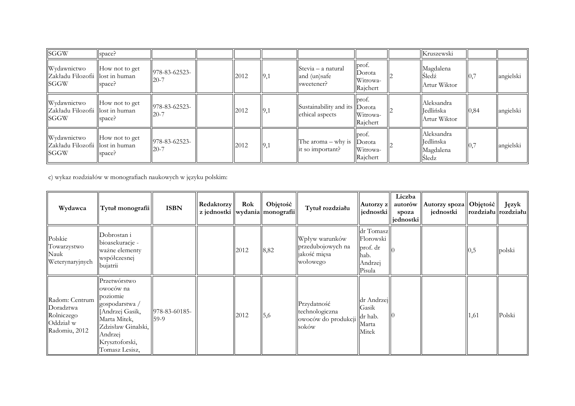| <b>SGGW</b>                                                     | space?                   |                           |      |     |                                                                   |                                         | Kruszewski                                           |      |           |
|-----------------------------------------------------------------|--------------------------|---------------------------|------|-----|-------------------------------------------------------------------|-----------------------------------------|------------------------------------------------------|------|-----------|
| Wydawnictwo<br>Zakładu Filozofii llost in human<br><b>SGGW</b>  | How not to get<br>space? | 978-83-62523-<br>$20 - 7$ | 2012 | 9,1 | $\left  \right $ Stevia – a natural<br>and (un)safe<br>sweetener? | prof.<br>Dorota<br>Witrowa-<br>Rajchert | Magdalena<br>Sledź<br>Artur Wiktor                   | 0,7  | angielski |
| Wydawnictwo<br>Zakładu Filozofii llost in human<br><b>ISGGW</b> | How not to get<br>space? | 978-83-62523-<br>$20 - 7$ | 2012 | 9,1 | Sustainability and its Dorota<br>ethical aspects                  | prof.<br>Witrowa-<br>Rajchert           | Aleksandra<br>ledlińska<br>Artur Wiktor              | 0,84 | angielski |
| Wydawnictwo<br>Zakładu Filozofii llost in human<br><b>ISGGW</b> | How not to get<br>space? | 978-83-62523-<br>$20 - 7$ | 2012 | 9,1 | The aroma – why is $\vert$ Dorota<br>it so important?             | prof.<br>Witrowa-<br>Rajchert           | Aleksandra<br><b>Jedlinska</b><br>Magdalena<br>Sledz | 0,7  | angielski |

c) wykaz rozdziałów w monografiach naukowych w języku polskim:

| Wydawca                                                                 | Tytuł monografii                                                                                                                                               | <b>ISBN</b>             | <b>Redaktorzy</b><br>z jednostki   wydania  monografii | Rok  | Objętość | Tytuł rozdziału                                                 | Autorzy z<br>jednostki                                          | Liczba<br>autorów<br>spoza<br>jednostki | Autorzy spoza   Objętość  <br>jednostki |      | Język<br>$\vert \text{rozdziału} \vert \vert \text{rozdziału} \vert$ |
|-------------------------------------------------------------------------|----------------------------------------------------------------------------------------------------------------------------------------------------------------|-------------------------|--------------------------------------------------------|------|----------|-----------------------------------------------------------------|-----------------------------------------------------------------|-----------------------------------------|-----------------------------------------|------|----------------------------------------------------------------------|
| Polskie<br>Towarzystwo<br>Nauk<br>Weterynaryjnych                       | Dobrostan i<br>bioasekuracje -<br>ważne elementy<br>współczesnej<br>bujatrii                                                                                   |                         |                                                        | 2012 | 8,82     | Wpływ warunków<br>przedubojowych na<br>jakość mięsa<br>wołowego | dr Tomasz<br>Florowski<br>prof. dr<br>hab.<br>Andrzej<br>Pisula |                                         |                                         | 0,5  | polski                                                               |
| Radom: Centrum<br>Doradztwa<br>Rolniczego<br>Oddział w<br>Radomiu, 2012 | Przetwórstwo<br>owoców na<br>poziomie<br>gospodarstwa /<br>Andrzej Gasik,<br>Marta Mitek,<br>Zdzisław Ginalski,<br>Andrzej<br>Krysztoforski,<br>Tomasz Lesisz, | 978-83-60185-<br>$59-9$ |                                                        | 2012 | 5,6      | Przydatność<br>technologiczna<br>owoców do produkcji<br>soków   | dr Andrzej<br>Gasik<br>dr hab.<br>Marta<br>Mitek                |                                         |                                         | 1,61 | Polski                                                               |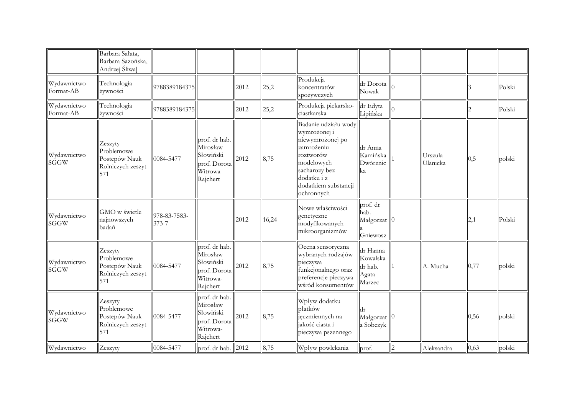|                            | Barbara Salata,<br>Barbara Sazońska,<br>Andrzej Śliwa]             |                       |                                                                                |      |       |                                                                                                                                                                         |                                                         |                     |                |        |
|----------------------------|--------------------------------------------------------------------|-----------------------|--------------------------------------------------------------------------------|------|-------|-------------------------------------------------------------------------------------------------------------------------------------------------------------------------|---------------------------------------------------------|---------------------|----------------|--------|
| Wydawnictwo<br>Format-AB   | Technologia<br>żywności                                            | 9788389184375         |                                                                                | 2012 | 25,2  | Produkcja<br>koncentratów<br>spożywczych                                                                                                                                | dr Dorota<br>Nowak                                      |                     |                | Polski |
| Wydawnictwo<br>Format-AB   | Technologia<br>żywności                                            | 9788389184375         |                                                                                | 2012 | 25,2  | Produkcja piekarsko-<br>ciastkarska                                                                                                                                     | dr Edyta<br>Lipińska                                    |                     | $\overline{2}$ | Polski |
| Wydawnictwo<br><b>SGGW</b> | Zeszyty<br>Problemowe<br>Postepów Nauk<br>Rolniczych zeszyt<br>571 | 0084-5477             | prof. dr hab.<br>Mirosław<br>Słowiński<br>prof. Dorota<br>Witrowa-<br>Rajchert | 2012 | 8,75  | Badanie udziału wody<br>wymrożonej i<br>niewymrożonej po<br>zamrożeniu<br>roztworów<br>modelowych<br>sacharozy bez<br>dodatku i z<br>dodatkiem substancji<br>ochronnych | dr Anna<br>Kamińska-<br>Dwórznic<br>ka                  | Urszula<br>Ulanicka | 0,5            | polski |
| Wydawnictwo<br><b>SGGW</b> | GMO w świetle<br>najnowszych<br>badań                              | 978-83-7583-<br>373-7 |                                                                                | 2012 | 16,24 | Nowe właściwości<br>genetyczne<br>modyfikowanych<br>mikroorganizmów                                                                                                     | prof. dr<br>hab.<br>Małgorzat <sup>10</sup><br>Gniewosz |                     | 2,1            | Polski |
| Wydawnictwo<br><b>SGGW</b> | Zeszyty<br>Problemowe<br>Postepów Nauk<br>Rolniczych zeszyt<br>571 | 0084-5477             | prof. dr hab.<br>Mirosław<br>Słowiński<br>prof. Dorota<br>Witrowa-<br>Rajchert | 2012 | 8,75  | Ocena sensoryczna<br>wybranych rodzajów<br>pieczywa<br>funkcjonalnego oraz<br>preferencje pieczywa<br>wśród konsumentów                                                 | dr Hanna<br>Kowalska<br>dr hab.<br>Agata<br>Marzec      | A. Mucha            | 0,77           | polski |
| Wydawnictwo<br><b>SGGW</b> | Zeszyty<br>Problemowe<br>Postepów Nauk<br>Rolniczych zeszyt<br>571 | 0084-5477             | prof. dr hab.<br>Mirosław<br>Słowiński<br>prof. Dorota<br>Witrowa-<br>Rajchert | 2012 | 8,75  | Wpływ dodatku<br>płatków<br>ięczmiennych na<br>jakość ciasta i<br>pieczywa pszennego                                                                                    | ldr<br>Małgorzat <sup>0</sup><br>a Sobczyk              |                     | 0,56           | polski |
| Wydawnictwo                | Zeszyty                                                            | 0084-5477             | prof. dr hab.                                                                  | 2012 | 8,75  | Wpływ powlekania                                                                                                                                                        | prof.                                                   | Aleksandra          | 0,63           | polski |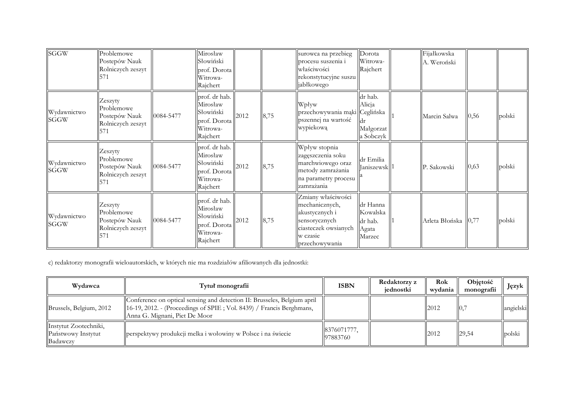| SGGW                       | Problemowe<br>Postepów Nauk<br>Rolniczych zeszyt                    |           | Mirosław<br>Słowiński<br>prof. Dorota<br>Witrowa-<br>Rajchert                  |      |      | surowca na przebieg<br>procesu suszenia i<br>właściwości<br>rekonstytucyjne suszu<br>jabłkowego                               | Dorota<br>Witrowa-<br>Rajchert                     | Fijałkowska<br>A. Weroński |      |        |
|----------------------------|---------------------------------------------------------------------|-----------|--------------------------------------------------------------------------------|------|------|-------------------------------------------------------------------------------------------------------------------------------|----------------------------------------------------|----------------------------|------|--------|
| Wydawnictwo<br><b>SGGW</b> | Zeszyty<br>Problemowe<br>Postepów Nauk<br>Rolniczych zeszyt         | 0084-5477 | prof. dr hab.<br>Mirosław<br>Słowiński<br>prof. Dorota<br>Witrowa-<br>Rajchert | 2012 | 8,75 | Wpływ<br>przechowywania mąki Ceglińska<br>pszennej na wartość<br>wypiekową                                                    | dr hab.<br>Alicja<br>Małgorzat<br>a Sobczyk        | Marcin Salwa               | 0,56 | polski |
| Wydawnictwo<br><b>SGGW</b> | Zeszyty<br>Problemowe<br>Postepów Nauk<br>Rolniczych zeszyt<br>571  | 0084-5477 | prof. dr hab.<br>Mirosław<br>Słowiński<br>prof. Dorota<br>Witrowa-<br>Rajchert | 2012 | 8,75 | Wpływ stopnia<br>zagęszczenia soku<br>marchwiowego oraz<br>metody zamrażania<br>na parametry procesu<br>zamrażania            | dr Emilia<br>Janiszewsk <sup>1</sup>               | P. Sakowski                | 0,63 | polski |
| Wydawnictwo<br>SGGW        | Zeszyty<br>Problemowe<br>Postepów Nauk<br>Rolniczych zeszyt<br>1571 | 0084-5477 | prof. dr hab.<br>Mirosław<br>Słowiński<br>prof. Dorota<br>Witrowa-<br>Rajchert | 2012 | 8,75 | Zmiany właściwości<br>mechanicznych,<br>akustycznych i<br>sensorycznych<br>ciasteczek owsianych<br>w czasie<br>przechowywania | dr Hanna<br>Kowalska<br>dr hab.<br>Agata<br>Marzec | Arleta Błońska  0,77       |      | polski |

c) redaktorzy monografii wieloautorskich, w których nie ma rozdziałów afiliowanych dla jednostki:

| Wydawca                                                 | Tytuł monografii                                                                                                                                                                   | <b>ISBN</b>            | Redaktorzy z<br>iednostki | Rok<br>wydania | Objętość<br>monografii | Język     |
|---------------------------------------------------------|------------------------------------------------------------------------------------------------------------------------------------------------------------------------------------|------------------------|---------------------------|----------------|------------------------|-----------|
| Brussels, Belgium, 2012                                 | Conference on optical sensing and detection II: Brusseles, Belgium april<br>[16-19, 2012. - (Proceedings of SPIE; Vol. 8439) / Francis Berghmans,<br>Anna G. Mignani, Piet De Moor |                        |                           | 2012           | 10.7                   | angielski |
| Instytut Zootechniki,<br>Państwowy Instytut<br>Badawczy | perspektywy produkcji melka i wołowiny w Polsce i na świecie                                                                                                                       | 8376071777<br>97883760 |                           | 2012           | 29,54                  | polski    |